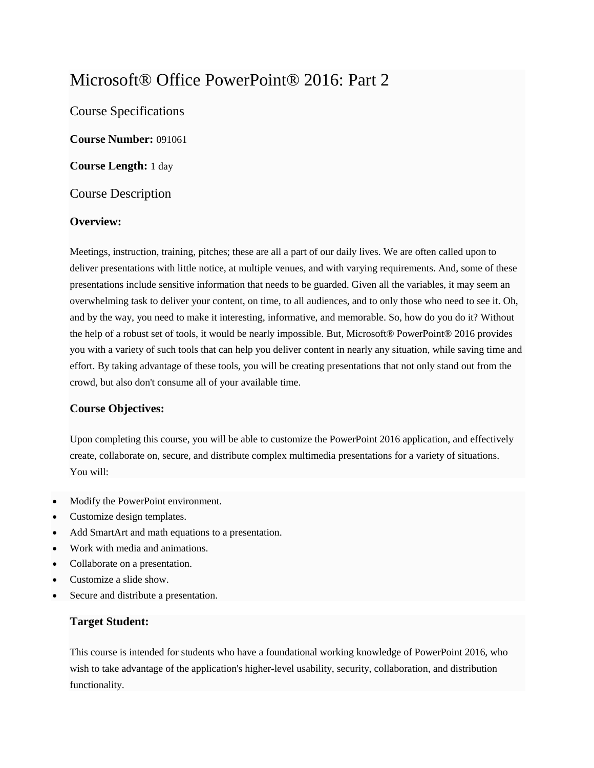# Microsoft® Office PowerPoint® 2016: Part 2

Course Specifications

**Course Number:** 091061

**Course Length:** 1 day

#### Course Description

#### **Overview:**

Meetings, instruction, training, pitches; these are all a part of our daily lives. We are often called upon to deliver presentations with little notice, at multiple venues, and with varying requirements. And, some of these presentations include sensitive information that needs to be guarded. Given all the variables, it may seem an overwhelming task to deliver your content, on time, to all audiences, and to only those who need to see it. Oh, and by the way, you need to make it interesting, informative, and memorable. So, how do you do it? Without the help of a robust set of tools, it would be nearly impossible. But, Microsoft® PowerPoint® 2016 provides you with a variety of such tools that can help you deliver content in nearly any situation, while saving time and effort. By taking advantage of these tools, you will be creating presentations that not only stand out from the crowd, but also don't consume all of your available time.

#### **Course Objectives:**

Upon completing this course, you will be able to customize the PowerPoint 2016 application, and effectively create, collaborate on, secure, and distribute complex multimedia presentations for a variety of situations. You will:

- Modify the PowerPoint environment.
- Customize design templates.
- Add SmartArt and math equations to a presentation.
- Work with media and animations.
- Collaborate on a presentation.
- Customize a slide show.
- Secure and distribute a presentation.

#### **Target Student:**

This course is intended for students who have a foundational working knowledge of PowerPoint 2016, who wish to take advantage of the application's higher-level usability, security, collaboration, and distribution functionality.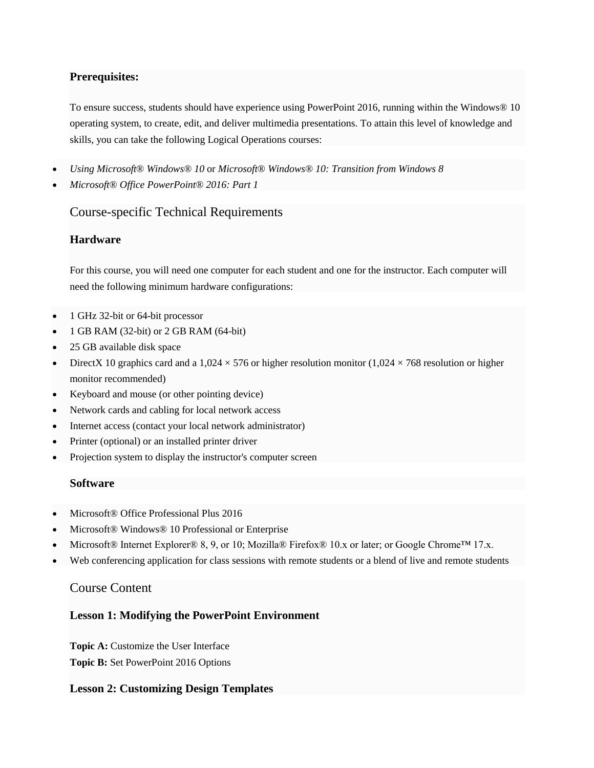#### **Prerequisites:**

To ensure success, students should have experience using PowerPoint 2016, running within the Windows® 10 operating system, to create, edit, and deliver multimedia presentations. To attain this level of knowledge and skills, you can take the following Logical Operations courses:

- *Using Microsoft® Windows® 10* or *Microsoft® Windows® 10: Transition from Windows 8*
- *Microsoft® Office PowerPoint® 2016: Part 1*

## Course-specific Technical Requirements

## **Hardware**

For this course, you will need one computer for each student and one for the instructor. Each computer will need the following minimum hardware configurations:

- 1 GHz 32-bit or 64-bit processor
- 1 GB RAM (32-bit) or 2 GB RAM (64-bit)
- 25 GB available disk space
- DirectX 10 graphics card and a 1,024  $\times$  576 or higher resolution monitor (1,024  $\times$  768 resolution or higher monitor recommended)
- Keyboard and mouse (or other pointing device)
- Network cards and cabling for local network access
- Internet access (contact your local network administrator)
- Printer (optional) or an installed printer driver
- Projection system to display the instructor's computer screen

#### **Software**

- Microsoft® Office Professional Plus 2016
- Microsoft® Windows® 10 Professional or Enterprise
- Microsoft® Internet Explorer® 8, 9, or 10; Mozilla® Firefox® 10.x or later; or Google Chrome™ 17.x.
- Web conferencing application for class sessions with remote students or a blend of live and remote students

#### Course Content

#### **Lesson 1: Modifying the PowerPoint Environment**

Topic A: Customize the User Interface **Topic B:** Set PowerPoint 2016 Options

#### **Lesson 2: Customizing Design Templates**